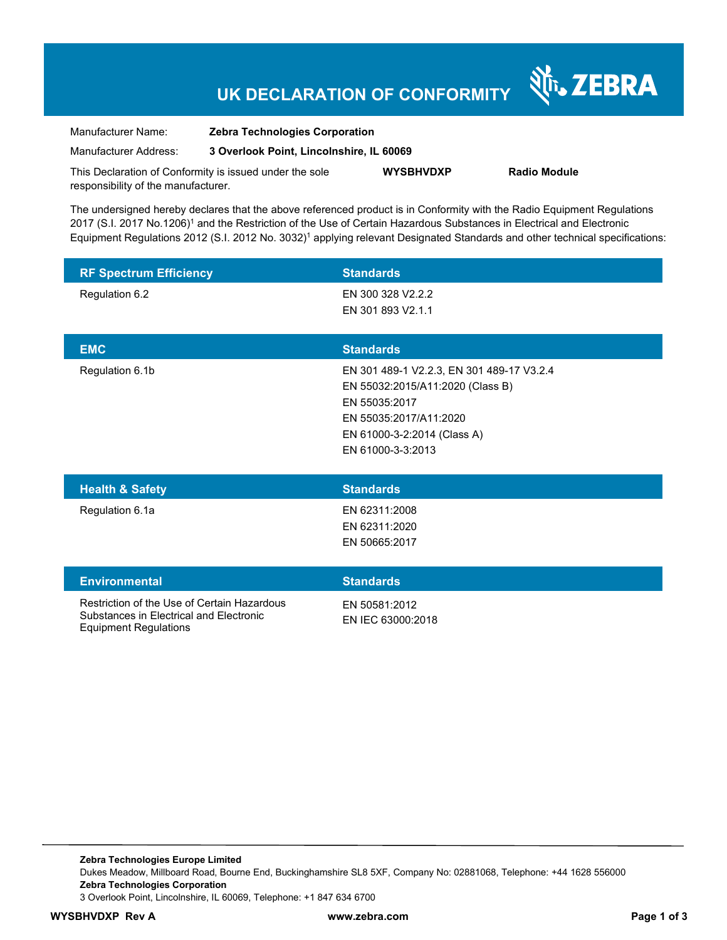## **UK DECLARATION OF CONFORMITY**

N<sub>T</sub>, ZEBRA

| Manufacturer Name:                  | <b>Zebra Technologies Corporation</b><br>3 Overlook Point, Lincolnshire, IL 60069 |                  |                     |
|-------------------------------------|-----------------------------------------------------------------------------------|------------------|---------------------|
| Manufacturer Address:               |                                                                                   |                  |                     |
|                                     | This Declaration of Conformity is issued under the sole                           | <b>WYSBHVDXP</b> | <b>Radio Module</b> |
| responsibility of the manufacturer. |                                                                                   |                  |                     |

The undersigned hereby declares that the above referenced product is in Conformity with the Radio Equipment Regulations 2017 (S.I. 2017 No.1206)<sup>1</sup> and the Restriction of the Use of Certain Hazardous Substances in Electrical and Electronic Equipment Regulations 2012 (S.I. 2012 No. 3032)<sup>1</sup> applying relevant Designated Standards and other technical specifications:

| <b>RF Spectrum Efficiency</b> | <b>Standards</b>                          |
|-------------------------------|-------------------------------------------|
| Regulation 6.2                | EN 300 328 V2.2.2                         |
|                               | EN 301 893 V2.1.1                         |
|                               |                                           |
| <b>EMC</b>                    | <b>Standards</b>                          |
| Regulation 6.1b               | EN 301 489-1 V2.2.3, EN 301 489-17 V3.2.4 |
|                               | EN 55032:2015/A11:2020 (Class B)          |
|                               | EN 55035:2017                             |
|                               | EN 55035:2017/A11:2020                    |
|                               | EN 61000-3-2:2014 (Class A)               |
|                               | EN 61000-3-3:2013                         |
|                               |                                           |

| <b>Health &amp; Safety</b> | <b>Standards</b> |
|----------------------------|------------------|
| Regulation 6.1a            | EN 62311:2008    |
|                            | EN 62311:2020    |
|                            | EN 50665:2017    |
|                            |                  |
| <b>Environmental</b>       | <b>Standards</b> |

Restriction of the Use of Certain Hazardous Substances in Electrical and Electronic Equipment Regulations

EN 50581:2012 EN IEC 63000:2018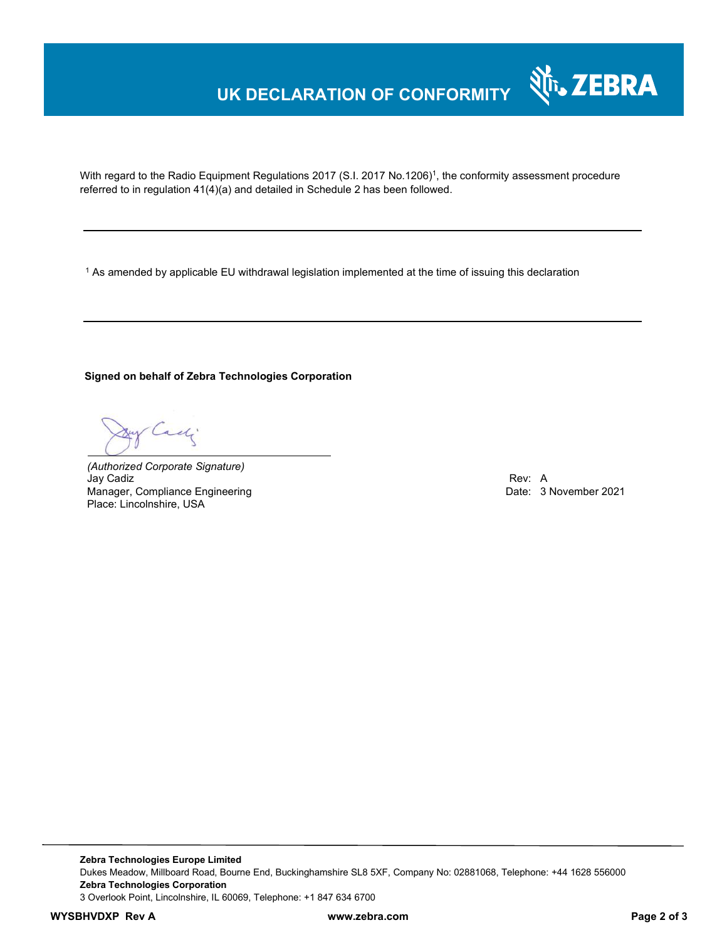## **UK DECLARATION OF CONFORMITY**

With regard to the Radio Equipment Regulations 2017 (S.I. 2017 No.1206)<sup>1</sup>, the conformity assessment procedure referred to in regulation 41(4)(a) and detailed in Schedule 2 has been followed.

 $^{\rm 1}$  As amended by applicable EU withdrawal legislation implemented at the time of issuing this declaration

**Signed on behalf of Zebra Technologies Corporation** 

Cach

*(Authorized Corporate Signature)* Jay Cadiz Rev: A Manager, Compliance Engineering **Date: 3 November 2021** Canadian Date: 3 November 2021 Place: Lincolnshire, USA

N<sub>i</sub>, ZEBRA